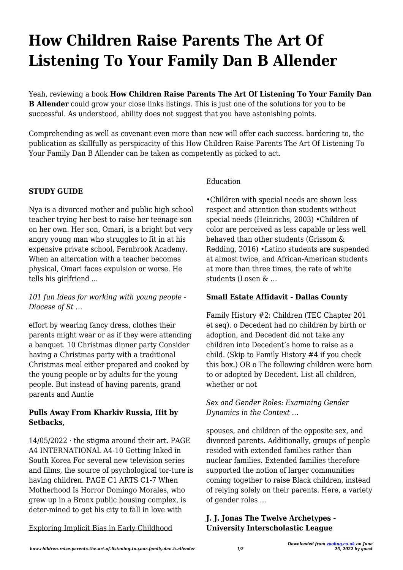# **How Children Raise Parents The Art Of Listening To Your Family Dan B Allender**

Yeah, reviewing a book **How Children Raise Parents The Art Of Listening To Your Family Dan B Allender** could grow your close links listings. This is just one of the solutions for you to be successful. As understood, ability does not suggest that you have astonishing points.

Comprehending as well as covenant even more than new will offer each success. bordering to, the publication as skillfully as perspicacity of this How Children Raise Parents The Art Of Listening To Your Family Dan B Allender can be taken as competently as picked to act.

## **STUDY GUIDE**

Nya is a divorced mother and public high school teacher trying her best to raise her teenage son on her own. Her son, Omari, is a bright but very angry young man who struggles to fit in at his expensive private school, Fernbrook Academy. When an altercation with a teacher becomes physical, Omari faces expulsion or worse. He tells his girlfriend ...

*101 fun Ideas for working with young people - Diocese of St …*

effort by wearing fancy dress, clothes their parents might wear or as if they were attending a banquet. 10 Christmas dinner party Consider having a Christmas party with a traditional Christmas meal either prepared and cooked by the young people or by adults for the young people. But instead of having parents, grand parents and Auntie

## **Pulls Away From Kharkiv Russia, Hit by Setbacks,**

 $14/05/2022 \cdot$  the stigma around their art. PAGE A4 INTERNATIONAL A4-10 Getting Inked in South Korea For several new television series and films, the source of psychological tor-ture is having children. PAGE C1 ARTS C1-7 When Motherhood Is Horror Domingo Morales, who grew up in a Bronx public housing complex, is deter-mined to get his city to fall in love with

Exploring Implicit Bias in Early Childhood

## Education

•Children with special needs are shown less respect and attention than students without special needs (Heinrichs, 2003) •Children of color are perceived as less capable or less well behaved than other students (Grissom & Redding, 2016) •Latino students are suspended at almost twice, and African-American students at more than three times, the rate of white students (Losen & …

## **Small Estate Affidavit - Dallas County**

Family History #2: Children (TEC Chapter 201 et seq). o Decedent had no children by birth or adoption, and Decedent did not take any children into Decedent's home to raise as a child. (Skip to Family History #4 if you check this box.) OR o The following children were born to or adopted by Decedent. List all children, whether or not

## *Sex and Gender Roles: Examining Gender Dynamics in the Context …*

spouses, and children of the opposite sex, and divorced parents. Additionally, groups of people resided with extended families rather than nuclear families. Extended families therefore supported the notion of larger communities coming together to raise Black children, instead of relying solely on their parents. Here, a variety of gender roles ...

## **J. J. Jonas The Twelve Archetypes - University Interscholastic League**